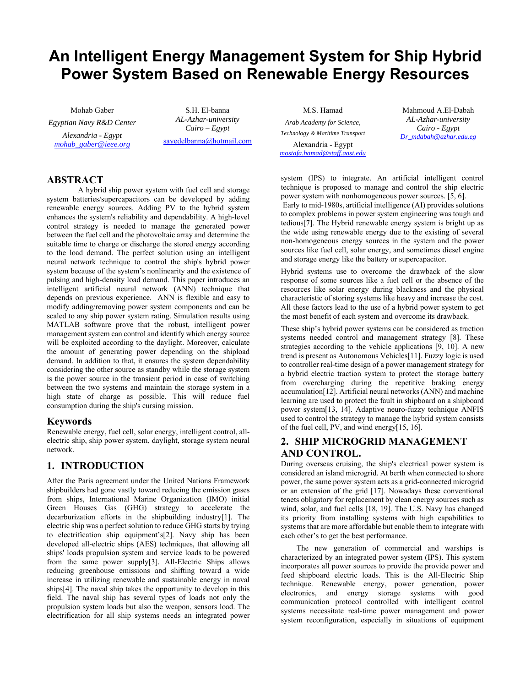# **An Intelligent Energy Management System for Ship Hybrid Power System Based on Renewable Energy Resources**

Mohab Gaber *Egyptian Navy R&D Center Alexandria - Egypt mohab\_gaber@ieee.org*

S.H. El-banna *AL-Azhar-university Cairo – Egypt*  sayedelbanna@hotmail.com

*Arab Academy for Science, Technology & Maritime Transport*  Alexandria - Egypt *mostafa.hamad@staff.aast.edu*

M.S. Hamad

Mahmoud A.El-Dabah *AL-Azhar-university Cairo - Egypt Dr\_mdabah@azhar.edu.eg*

# **ABSTRACT**

A hybrid ship power system with fuel cell and storage system batteries/supercapacitors can be developed by adding renewable energy sources. Adding PV to the hybrid system enhances the system's reliability and dependability. A high-level control strategy is needed to manage the generated power between the fuel cell and the photovoltaic array and determine the suitable time to charge or discharge the stored energy according to the load demand. The perfect solution using an intelligent neural network technique to control the ship's hybrid power system because of the system's nonlinearity and the existence of pulsing and high-density load demand. This paper introduces an intelligent artificial neural network (ANN) technique that depends on previous experience. ANN is flexible and easy to modify adding/removing power system components and can be scaled to any ship power system rating. Simulation results using MATLAB software prove that the robust, intelligent power management system can control and identify which energy source will be exploited according to the daylight. Moreover, calculate the amount of generating power depending on the shipload demand. In addition to that, it ensures the system dependability considering the other source as standby while the storage system is the power source in the transient period in case of switching between the two systems and maintain the storage system in a high state of charge as possible. This will reduce fuel consumption during the ship's cursing mission.

# **Keywords**

Renewable energy, fuel cell, solar energy, intelligent control, allelectric ship, ship power system, daylight, storage system neural network.

# **1. INTRODUCTION**

After the Paris agreement under the United Nations Framework shipbuilders had gone vastly toward reducing the emission gases from ships, International Marine Organization (IMO) initial Green Houses Gas (GHG) strategy to accelerate the decarburization efforts in the shipbuilding industry[1]. The electric ship was a perfect solution to reduce GHG starts by trying to electrification ship equipment's[2]. Navy ship has been developed all-electric ships (AES) techniques, that allowing all ships' loads propulsion system and service loads to be powered from the same power supply[3]. All-Electric Ships allows reducing greenhouse emissions and shifting toward a wide increase in utilizing renewable and sustainable energy in naval ships[4]. The naval ship takes the opportunity to develop in this field. The naval ship has several types of loads not only the propulsion system loads but also the weapon, sensors load. The electrification for all ship systems needs an integrated power

system (IPS) to integrate. An artificial intelligent control technique is proposed to manage and control the ship electric power system with nonhomogeneous power sources. [5, 6].

 Early to mid-1980s, artificial intelligence (AI) provides solutions to complex problems in power system engineering was tough and tedious[7]. The Hybrid renewable energy system is bright up as the wide using renewable energy due to the existing of several non-homogeneous energy sources in the system and the power sources like fuel cell, solar energy, and sometimes diesel engine and storage energy like the battery or supercapacitor.

Hybrid systems use to overcome the drawback of the slow response of some sources like a fuel cell or the absence of the resources like solar energy during blackness and the physical characteristic of storing systems like heavy and increase the cost. All these factors lead to the use of a hybrid power system to get the most benefit of each system and overcome its drawback.

These ship's hybrid power systems can be considered as traction systems needed control and management strategy [8]. These strategies according to the vehicle applications [9, 10]. A new trend is present as Autonomous Vehicles[11]. Fuzzy logic is used to controller real-time design of a power management strategy for a hybrid electric traction system to protect the storage battery from overcharging during the repetitive braking energy accumulation[12]. Artificial neural networks (ANN) and machine learning are used to protect the fault in shipboard on a shipboard power system[13, 14]. Adaptive neuro-fuzzy technique ANFIS used to control the strategy to manage the hybrid system consists of the fuel cell, PV, and wind energy[15, 16].

# **2. SHIP MICROGRID MANAGEMENT AND CONTROL.**

During overseas cruising, the ship's electrical power system is considered an island microgrid. At berth when connected to shore power, the same power system acts as a grid-connected microgrid or an extension of the grid [17]. Nowadays these conventional tenets obligatory for replacement by clean energy sources such as wind, solar, and fuel cells [18, 19]. The U.S. Navy has changed its priority from installing systems with high capabilities to systems that are more affordable but enable them to integrate with each other's to get the best performance.

The new generation of commercial and warships is characterized by an integrated power system (IPS). This system incorporates all power sources to provide the provide power and feed shipboard electric loads. This is the All-Electric Ship technique. Renewable energy, power generation, power electronics, and energy storage systems with good communication protocol controlled with intelligent control systems necessitate real-time power management and power system reconfiguration, especially in situations of equipment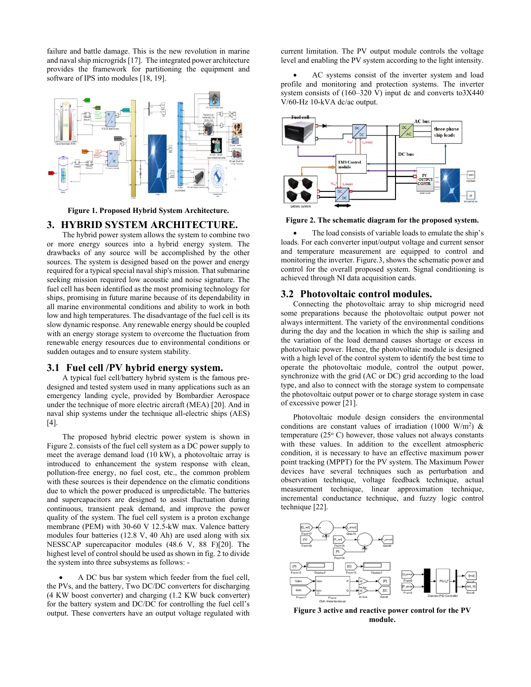failure and battle damage. This is the new revolution in marine and naval ship microgrids [17]. The integrated power architecture provides the framework for partitioning the equipment and software of IPS into modules [18, 19].



**Figure 1. Proposed Hybrid System Architecture.** 

#### **3. HYBRID SYSTEM ARCHITECTURE.**

The hybrid power system allows the system to combine two or more energy sources into a hybrid energy system. The drawbacks of any source will be accomplished by the other sources. The system is designed based on the power and energy required for a typical special naval ship's mission. That submarine seeking mission required low acoustic and noise signature. The fuel cell has been identified as the most promising technology for ships, promising in future marine because of its dependability in all marine environmental conditions and ability to work in both low and high temperatures. The disadvantage of the fuel cell is its slow dynamic response. Any renewable energy should be coupled with an energy storage system to overcome the fluctuation from renewable energy resources due to environmental conditions or sudden outages and to ensure system stability.

# **3.1 Fuel cell /PV hybrid energy system.**

A typical fuel cell/battery hybrid system is the famous predesigned and tested system used in many applications such as an emergency landing cycle, provided by Bombardier Aerospace under the technique of more electric aircraft (MEA) [20]. And in naval ship systems under the technique all-electric ships (AES) [4].

The proposed hybrid electric power system is shown in Figure 2. consists of the fuel cell system as a DC power supply to meet the average demand load (10 kW), a photovoltaic array is introduced to enhancement the system response with clean, pollution-free energy, no fuel cost, etc., the common problem with these sources is their dependence on the climatic conditions due to which the power produced is unpredictable. The batteries and supercapacitors are designed to assist fluctuation during continuous, transient peak demand, and improve the power quality of the system. The fuel cell system is a proton exchange membrane (PEM) with 30-60 V 12.5-kW max. Valence battery modules four batteries (12.8 V, 40 Ah) are used along with six NESSCAP supercapacitor modules (48.6 V, 88 F)[20]. The highest level of control should be used as shown in fig. 2 to divide the system into three subsystems as follows: -

 A DC bus bar system which feeder from the fuel cell, the PVs, and the battery, Two DC/DC converters for discharging (4 KW boost converter) and charging (1.2 KW buck converter) for the battery system and DC/DC for controlling the fuel cell's output. These converters have an output voltage regulated with

current limitation. The PV output module controls the voltage level and enabling the PV system according to the light intensity.

 AC systems consist of the inverter system and load profile and monitoring and protection systems. The inverter system consists of (160–320 V) input dc and converts to3X440 V/60-Hz 10-kVA dc/ac output.



**Figure 2. The schematic diagram for the proposed system.** 

 The load consists of variable loads to emulate the ship's loads. For each converter input/output voltage and current sensor and temperature measurement are equipped to control and monitoring the inverter. Figure.3, shows the schematic power and control for the overall proposed system. Signal conditioning is achieved through NI data acquisition cards.

#### **3.2 Photovoltaic control modules.**

Connecting the photovoltaic array to ship microgrid need some preparations because the photovoltaic output power not always intermittent. The variety of the environmental conditions during the day and the location in which the ship is sailing and the variation of the load demand causes shortage or excess in photovoltaic power. Hence, the photovoltaic module is designed with a high level of the control system to identify the best time to operate the photovoltaic module, control the output power, synchronize with the grid (AC or DC) grid according to the load type, and also to connect with the storage system to compensate the photovoltaic output power or to charge storage system in case of excessive power [21].

Photovoltaic module design considers the environmental conditions are constant values of irradiation (1000 W/m<sup>2</sup>) & temperature  $(25^{\circ}$  C) however, those values not always constants with these values. In addition to the excellent atmospheric condition, it is necessary to have an effective maximum power point tracking (MPPT) for the PV system. The Maximum Power devices have several techniques such as perturbation and observation technique, voltage feedback technique, actual measurement technique, linear approximation technique, incremental conductance technique, and fuzzy logic control technique [22].



**Figure 3 active and reactive power control for the PV module.**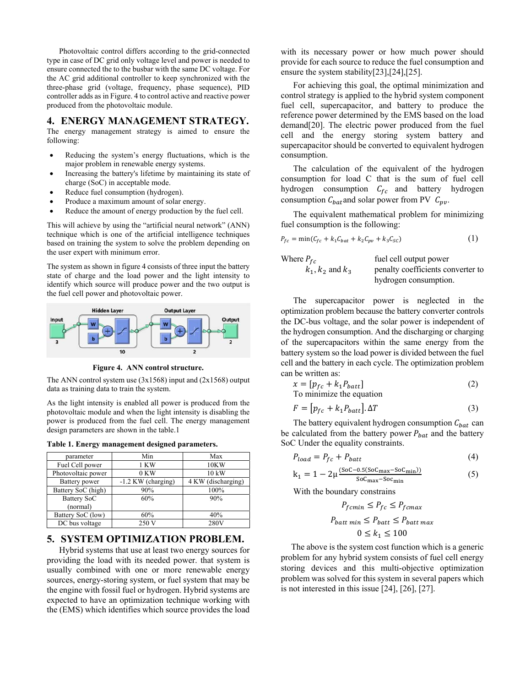Photovoltaic control differs according to the grid-connected type in case of DC grid only voltage level and power is needed to ensure connected the to the busbar with the same DC voltage. For the AC grid additional controller to keep synchronized with the three-phase grid (voltage, frequency, phase sequence), PID controller adds as in Figure. 4 to control active and reactive power produced from the photovoltaic module.

#### **4. ENERGY MANAGEMENT STRATEGY.**

The energy management strategy is aimed to ensure the following:

- Reducing the system's energy fluctuations, which is the major problem in renewable energy systems.
- Increasing the battery's lifetime by maintaining its state of charge (SoC) in acceptable mode.
- Reduce fuel consumption (hydrogen).
- Produce a maximum amount of solar energy.
- Reduce the amount of energy production by the fuel cell.

This will achieve by using the "artificial neural network" (ANN) technique which is one of the artificial intelligence techniques based on training the system to solve the problem depending on the user expert with minimum error.

The system as shown in figure 4 consists of three input the battery state of charge and the load power and the light intensity to identify which source will produce power and the two output is the fuel cell power and photovoltaic power.



**Figure 4. ANN control structure.** 

The ANN control system use  $(3x1568)$  input and  $(2x1568)$  output data as training data to train the system.

As the light intensity is enabled all power is produced from the photovoltaic module and when the light intensity is disabling the power is produced from the fuel cell. The energy management design parameters are shown in the table.1

**Table 1. Energy management designed parameters.** 

| parameter          | Min                  | Max                |  |
|--------------------|----------------------|--------------------|--|
| Fuel Cell power    | 1 KW                 | 10KW               |  |
| Photovoltaic power | $0$ KW               | 10 kW              |  |
| Battery power      | $-1.2$ KW (charging) | 4 KW (discharging) |  |
| Battery SoC (high) | 90%                  | 100%               |  |
| Battery SoC        | 60%                  | 90%                |  |
| (normal)           |                      |                    |  |
| Battery SoC (low)  | 60%                  | 40%                |  |
| DC bus voltage     | 250 V                | 280V               |  |

# **5. SYSTEM OPTIMIZATION PROBLEM.**

Hybrid systems that use at least two energy sources for providing the load with its needed power. that system is usually combined with one or more renewable energy sources, energy-storing system, or fuel system that may be the engine with fossil fuel or hydrogen. Hybrid systems are expected to have an optimization technique working with the (EMS) which identifies which source provides the load

with its necessary power or how much power should provide for each source to reduce the fuel consumption and ensure the system stability[23],[24],[25].

For achieving this goal, the optimal minimization and control strategy is applied to the hybrid system component fuel cell, supercapacitor, and battery to produce the reference power determined by the EMS based on the load demand[20]. The electric power produced from the fuel cell and the energy storing system battery and supercapacitor should be converted to equivalent hydrogen consumption.

The calculation of the equivalent of the hydrogen consumption for load C that is the sum of fuel cell hydrogen consumption  $C_{fc}$  and battery hydrogen consumption  $C_{bat}$  and solar power from PV  $C_{pv}$ .

The equivalent mathematical problem for minimizing fuel consumption is the following:

$$
P_{fc} = \min(C_{fc} + k_1 C_{bat} + k_2 C_{pv} + k_3 C_{sc})
$$
 (1)

Where  $P_{fc}$  fuel cell output power<br> $k_1, k_2$  and  $k_3$  penalty coefficients co penalty coefficients converter to hydrogen consumption.

The supercapacitor power is neglected in the optimization problem because the battery converter controls the DC-bus voltage, and the solar power is independent of the hydrogen consumption. And the discharging or charging of the supercapacitors within the same energy from the battery system so the load power is divided between the fuel cell and the battery in each cycle. The optimization problem can be written as:

$$
x = [p_{fc} + k_1 P_{batt}]
$$
  
To minimize the equation (2)

$$
F = [p_{fc} + k_1 P_{batt}].\Delta T
$$
 (3)

The battery equivalent hydrogen consumption  $C_{bat}$  can be calculated from the battery power  $P_{bat}$  and the battery SoC Under the equality constraints.

$$
P_{load} = P_{fc} + P_{batt} \tag{4}
$$

$$
k_1 = 1 - 2\mu \frac{(SoC - 0.5(SoC_{max} - SoC_{min}))}{SoC_{max} - SoC_{min}}
$$
(5)

With the boundary constrains

$$
P_{fcmin} \le P_{fc} \le P_{fcmax}
$$
  
 
$$
P_{batt \ min} \le P_{batt} \le P_{batt \ max}
$$
  
 
$$
0 \le k_1 \le 100
$$

The above is the system cost function which is a generic problem for any hybrid system consists of fuel cell energy storing devices and this multi-objective optimization problem was solved for this system in several papers which is not interested in this issue [24], [26], [27].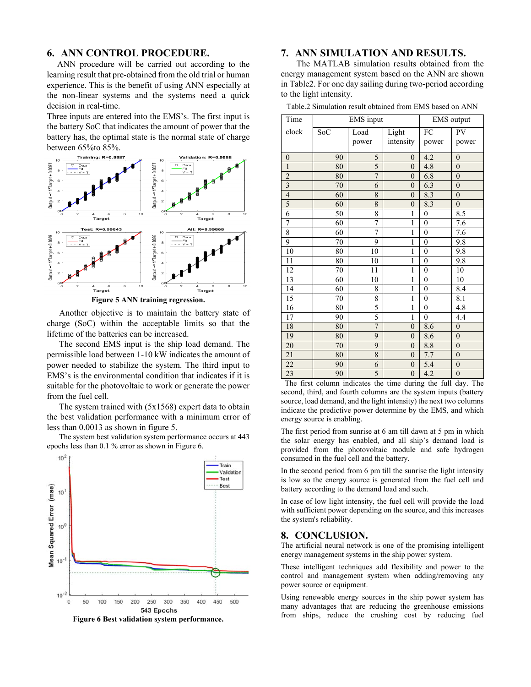# **6. ANN CONTROL PROCEDURE.**

ANN procedure will be carried out according to the learning result that pre-obtained from the old trial or human experience. This is the benefit of using ANN especially at the non-linear systems and the systems need a quick decision in real-time.

Three inputs are entered into the EMS's. The first input is the battery SoC that indicates the amount of power that the battery has, the optimal state is the normal state of charge between 65%to 85%.



**Figure 5 ANN training regression.** 

Another objective is to maintain the battery state of charge (SoC) within the acceptable limits so that the lifetime of the batteries can be increased.

The second EMS input is the ship load demand. The permissible load between 1-10 kW indicates the amount of power needed to stabilize the system. The third input to EMS's is the environmental condition that indicates if it is suitable for the photovoltaic to work or generate the power from the fuel cell.

The system trained with  $(5x1568)$  expert data to obtain the best validation performance with a minimum error of less than 0.0013 as shown in figure 5.

The system best validation system performance occurs at 443 epochs less than 0.1 % error as shown in Figure 6.



**7. ANN SIMULATION AND RESULTS.** 

The MATLAB simulation results obtained from the energy management system based on the ANN are shown in Table2. For one day sailing during two-period according to the light intensity.

Table.2 Simulation result obtained from EMS based on ANN

| Time            | <b>EMS</b> input |                |                  | EMS output       |                  |
|-----------------|------------------|----------------|------------------|------------------|------------------|
| clock           | SoC              | Load           | Light            | FC               | PV               |
|                 |                  | power          | intensity        | power            | power            |
|                 |                  |                |                  |                  |                  |
| $\overline{0}$  | 90               | 5              | $\overline{0}$   | 4.2              | $\overline{0}$   |
| $\overline{1}$  | 80               | 5              | $\overline{0}$   | 4.8              | $\overline{0}$   |
| $rac{2}{3}$     | 80               | $\overline{7}$ | $\overline{0}$   | 6.8              | $\boldsymbol{0}$ |
|                 | 70               | 6              | $\overline{0}$   | 6.3              | $\boldsymbol{0}$ |
| $\overline{4}$  | 60               | 8              | $\overline{0}$   | 8.3              | $\boldsymbol{0}$ |
| $\overline{5}$  | 60               | 8              | $\boldsymbol{0}$ | 8.3              | $\boldsymbol{0}$ |
| $\overline{6}$  | 50               | 8              | $\mathbf{1}$     | $\boldsymbol{0}$ | 8.5              |
| 7               | 60               | 7              | $\mathbf{1}$     | $\boldsymbol{0}$ | 7.6              |
| $\overline{8}$  | 60               | 7              | $\mathbf{1}$     | $\boldsymbol{0}$ | 7.6              |
| 9               | 70               | 9              | $\mathbf{1}$     | $\boldsymbol{0}$ | 9.8              |
| 10              | 80               | 10             | $\mathbf{1}$     | $\boldsymbol{0}$ | 9.8              |
| 11              | 80               | 10             | 1                | $\boldsymbol{0}$ | 9.8              |
| 12              | 70               | 11             | $\mathbf{1}$     | $\boldsymbol{0}$ | 10               |
| 13              | 60               | 10             | $\mathbf{1}$     | $\boldsymbol{0}$ | 10               |
| 14              | 60               | 8              | 1                | $\boldsymbol{0}$ | 8.4              |
| 15              | 70               | 8              | $\mathbf{1}$     | $\boldsymbol{0}$ | 8.1              |
| $\overline{16}$ | 80               | 5              | $\mathbf{1}$     | $\boldsymbol{0}$ | 4.8              |
| $\overline{17}$ | 90               | 5              | 1                | $\boldsymbol{0}$ | 4.4              |
| 18              | 80               | $\overline{7}$ | $\overline{0}$   | 8.6              | $\boldsymbol{0}$ |
| 19              | 80               | $\overline{9}$ | $\boldsymbol{0}$ | 8.6              | $\overline{0}$   |
| 20              | 70               | 9              | $\overline{0}$   | 8.8              | $\overline{0}$   |
| $\overline{21}$ | 80               | 8              | $\overline{0}$   | 7.7              | $\boldsymbol{0}$ |
| $\overline{22}$ | 90               | 6              | $\overline{0}$   | 5.4              | $\boldsymbol{0}$ |
| 23              | 90               | 5              | $\boldsymbol{0}$ | 4.2              | $\boldsymbol{0}$ |

The first column indicates the time during the full day. The second, third, and fourth columns are the system inputs (battery source, load demand, and the light intensity) the next two columns indicate the predictive power determine by the EMS, and which energy source is enabling.

The first period from sunrise at 6 am till dawn at 5 pm in which the solar energy has enabled, and all ship's demand load is provided from the photovoltaic module and safe hydrogen consumed in the fuel cell and the battery.

In the second period from 6 pm till the sunrise the light intensity is low so the energy source is generated from the fuel cell and battery according to the demand load and such.

In case of low light intensity, the fuel cell will provide the load with sufficient power depending on the source, and this increases the system's reliability.

### **8. CONCLUSION.**

The artificial neural network is one of the promising intelligent energy management systems in the ship power system.

These intelligent techniques add flexibility and power to the control and management system when adding/removing any power source or equipment.

Using renewable energy sources in the ship power system has many advantages that are reducing the greenhouse emissions from ships, reduce the crushing cost by reducing fuel